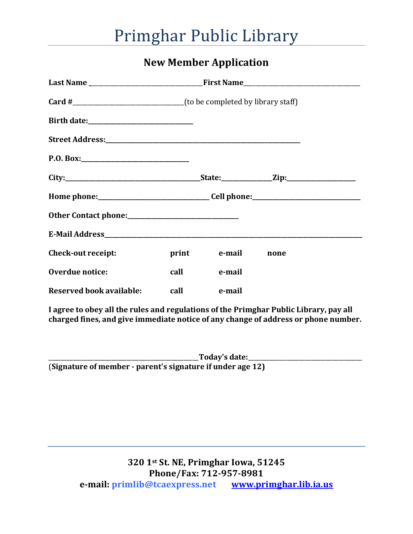## Primghar Public Library

#### **New Member Application**

| P.0. Box:                                                                             |      |              |      |
|---------------------------------------------------------------------------------------|------|--------------|------|
|                                                                                       |      |              |      |
|                                                                                       |      |              |      |
|                                                                                       |      |              |      |
|                                                                                       |      |              |      |
| Check-out receipt:                                                                    |      | print e-mail | none |
| Overdue notice:                                                                       | call | e-mail       |      |
| <b>Reserved book available:</b>                                                       | call | e-mail       |      |
| I agree to obey all the rules and regulations of the Primghar Public Library, pay all |      |              |      |

**charged fines, and give immediate notice of any change of address or phone number.**

\_\_\_\_\_\_\_\_\_\_\_\_\_\_\_\_\_\_\_\_\_\_\_\_\_\_\_\_\_\_\_\_\_\_\_\_\_\_\_\_\_\_\_\_\_\_\_\_\_\_**Today's date:**\_\_\_\_\_\_\_\_\_\_\_\_\_\_\_\_\_\_\_\_\_\_\_\_\_\_\_\_\_\_\_\_\_\_\_\_\_\_ (**Signature of member - parent's signature if under age 12)**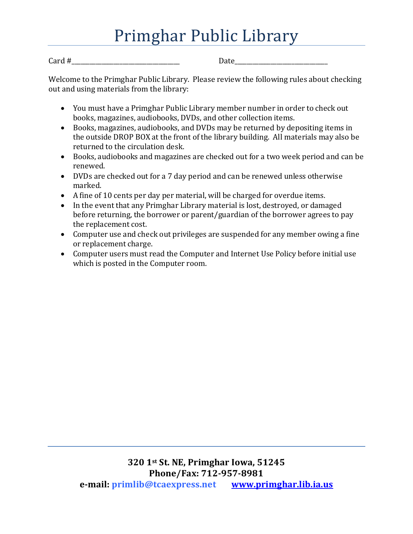# Primghar Public Library

 $Card \#$ 

Welcome to the Primghar Public Library. Please review the following rules about checking out and using materials from the library:

- You must have a Primghar Public Library member number in order to check out books, magazines, audiobooks, DVDs, and other collection items.
- Books, magazines, audiobooks, and DVDs may be returned by depositing items in the outside DROP BOX at the front of the library building. All materials may also be returned to the circulation desk.
- Books, audiobooks and magazines are checked out for a two week period and can be renewed.
- DVDs are checked out for a 7 day period and can be renewed unless otherwise marked.
- A fine of 10 cents per day per material, will be charged for overdue items.
- In the event that any Primghar Library material is lost, destroyed, or damaged before returning, the borrower or parent/guardian of the borrower agrees to pay the replacement cost.
- Computer use and check out privileges are suspended for any member owing a fine or replacement charge.
- Computer users must read the Computer and Internet Use Policy before initial use which is posted in the Computer room.